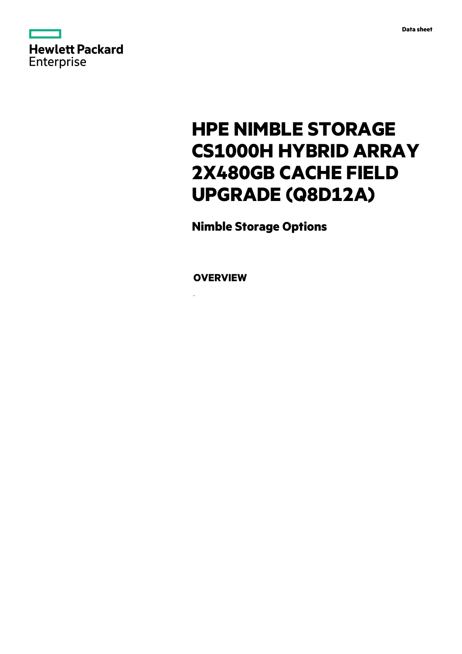

# **HPE NIMBLE STORAGE CS1000H HYBRID ARRAY 2X480GB CACHE FIELD UPGRADE (Q8D12A)**

**Nimble Storage Options**

**OVERVIEW**

.